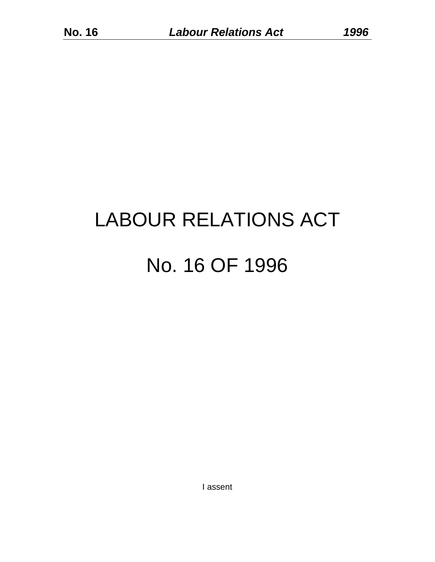# LABOUR RELATIONS ACT No. 16 OF 1996

I assent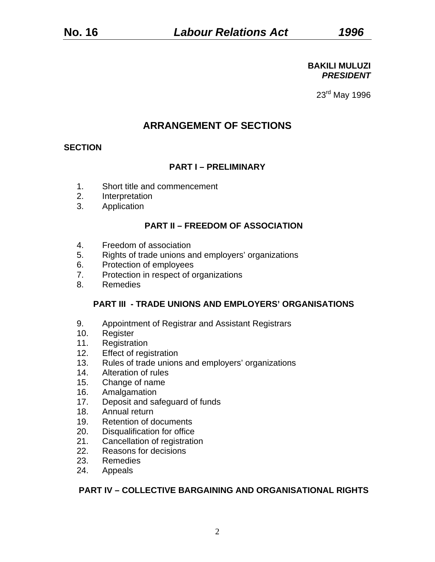#### **BAKILI MULUZI**  *PRESIDENT*

23rd May 1996

## **ARRANGEMENT OF SECTIONS**

## **SECTION**

## **PART I – PRELIMINARY**

- 1. Short title and commencement
- 2. Interpretation
- 3. Application

#### **PART II – FREEDOM OF ASSOCIATION**

- 4. Freedom of association
- 5. Rights of trade unions and employers' organizations
- 6. Protection of employees
- 7. Protection in respect of organizations
- 8. Remedies

#### **PART III - TRADE UNIONS AND EMPLOYERS' ORGANISATIONS**

- 9. Appointment of Registrar and Assistant Registrars
- 10. Register
- 11. Registration
- 12. Effect of registration
- 13. Rules of trade unions and employers' organizations
- 14. Alteration of rules
- 15. Change of name
- 16. Amalgamation
- 17. Deposit and safeguard of funds
- 18. Annual return
- 19. Retention of documents
- 20. Disqualification for office
- 21. Cancellation of registration
- 22. Reasons for decisions
- 23. Remedies
- 24. Appeals

### **PART IV – COLLECTIVE BARGAINING AND ORGANISATIONAL RIGHTS**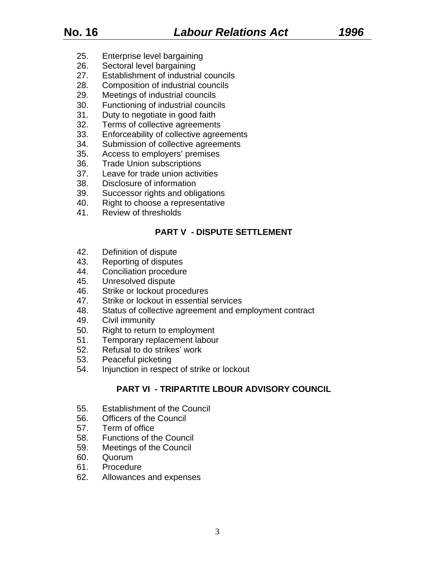- 25. Enterprise level bargaining
- 26. Sectoral level bargaining
- 27. Establishment of industrial councils
- 28. Composition of industrial councils
- 29. Meetings of industrial councils
- 30. Functioning of industrial councils
- 31. Duty to negotiate in good faith
- 32. Terms of collective agreements
- 33. Enforceability of collective agreements
- 34. Submission of collective agreements
- 35. Access to employers' premises
- 36. Trade Union subscriptions
- 37. Leave for trade union activities
- 38. Disclosure of information
- 39. Successor rights and obligations
- 40. Right to choose a representative
- 41. Review of thresholds

## **PART V - DISPUTE SETTLEMENT**

- 42. Definition of dispute
- 43. Reporting of disputes
- 44. Conciliation procedure
- 45. Unresolved dispute
- 46. Strike or lockout procedures
- 47. Strike or lockout in essential services
- 48. Status of collective agreement and employment contract
- 49. Civil immunity
- 50. Right to return to employment
- 51. Temporary replacement labour
- 52. Refusal to do strikes' work
- 53. Peaceful picketing
- 54. Injunction in respect of strike or lockout

## **PART VI - TRIPARTITE LBOUR ADVISORY COUNCIL**

- 55. Establishment of the Council
- 56. Officers of the Council
- 57. Term of office
- 58. Functions of the Council
- 59. Meetings of the Council
- 60. Quorum
- 61. Procedure
- 62. Allowances and expenses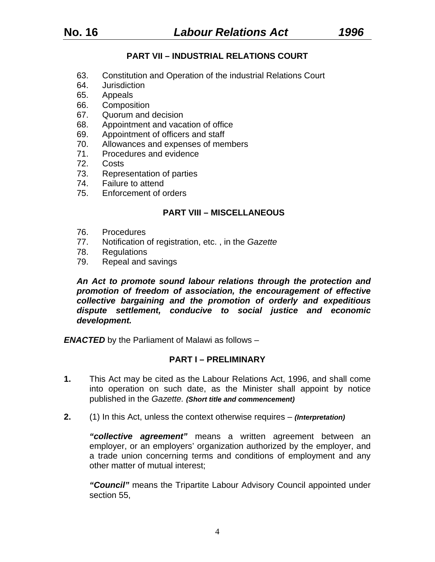## **PART VII – INDUSTRIAL RELATIONS COURT**

- 63. Constitution and Operation of the industrial Relations Court
- 64. Jurisdiction
- 65. Appeals
- 66. Composition
- 67. Quorum and decision
- 68. Appointment and vacation of office
- 69. Appointment of officers and staff
- 70. Allowances and expenses of members
- 71. Procedures and evidence
- 72. Costs
- 73. Representation of parties
- 74. Failure to attend
- 75. Enforcement of orders

#### **PART VIII – MISCELLANEOUS**

- 76. Procedures
- 77. Notification of registration, etc. , in the *Gazette*
- 78. Regulations
- 79. Repeal and savings

*An Act to promote sound labour relations through the protection and promotion of freedom of association, the encouragement of effective collective bargaining and the promotion of orderly and expeditious dispute settlement, conducive to social justice and economic development.* 

**ENACTED** by the Parliament of Malawi as follows –

#### **PART I – PRELIMINARY**

- **1.** This Act may be cited as the Labour Relations Act, 1996, and shall come into operation on such date, as the Minister shall appoint by notice published in the *Gazette. (Short title and commencement)*
- **2.** (1) In this Act, unless the context otherwise requires *(Interpretation)*

*"collective agreement"* means a written agreement between an employer, or an employers' organization authorized by the employer, and a trade union concerning terms and conditions of employment and any other matter of mutual interest;

*"Council"* means the Tripartite Labour Advisory Council appointed under section 55,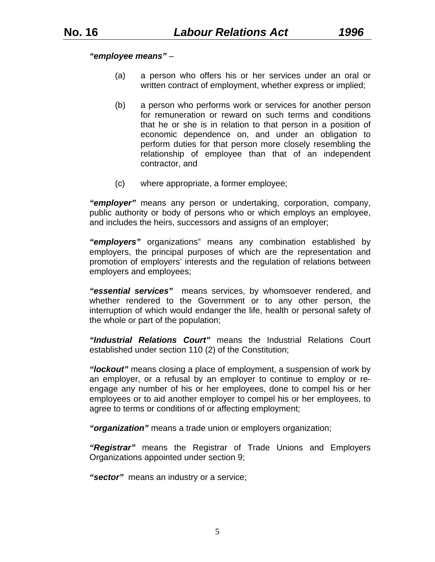#### *"employee means"* –

- (a) a person who offers his or her services under an oral or written contract of employment, whether express or implied;
- (b) a person who performs work or services for another person for remuneration or reward on such terms and conditions that he or she is in relation to that person in a position of economic dependence on, and under an obligation to perform duties for that person more closely resembling the relationship of employee than that of an independent contractor, and
- (c) where appropriate, a former employee;

*"employer"* means any person or undertaking, corporation, company, public authority or body of persons who or which employs an employee, and includes the heirs, successors and assigns of an employer;

*"employers"* organizations" means any combination established by employers, the principal purposes of which are the representation and promotion of employers' interests and the regulation of relations between employers and employees;

*"essential services"* means services, by whomsoever rendered, and whether rendered to the Government or to any other person, the interruption of which would endanger the life, health or personal safety of the whole or part of the population;

*"Industrial Relations Court"* means the Industrial Relations Court established under section 110 (2) of the Constitution;

*"lockout"* means closing a place of employment, a suspension of work by an employer, or a refusal by an employer to continue to employ or reengage any number of his or her employees, done to compel his or her employees or to aid another employer to compel his or her employees, to agree to terms or conditions of or affecting employment;

*"organization"* means a trade union or employers organization;

*"Registrar"* means the Registrar of Trade Unions and Employers Organizations appointed under section 9;

*"sector"* means an industry or a service;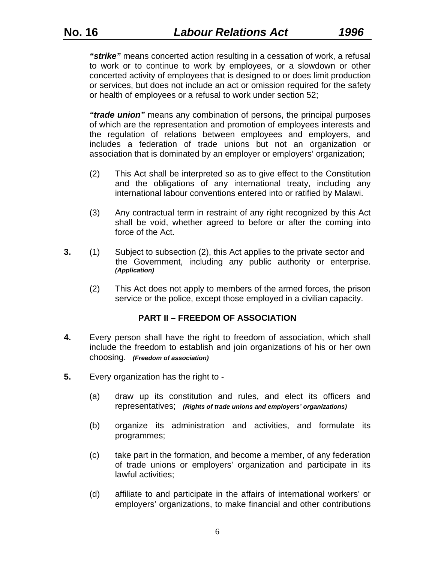*"strike"* means concerted action resulting in a cessation of work, a refusal to work or to continue to work by employees, or a slowdown or other concerted activity of employees that is designed to or does limit production or services, but does not include an act or omission required for the safety or health of employees or a refusal to work under section 52;

*"trade union"* means any combination of persons, the principal purposes of which are the representation and promotion of employees interests and the regulation of relations between employees and employers, and includes a federation of trade unions but not an organization or association that is dominated by an employer or employers' organization;

- (2) This Act shall be interpreted so as to give effect to the Constitution and the obligations of any international treaty, including any international labour conventions entered into or ratified by Malawi.
- (3) Any contractual term in restraint of any right recognized by this Act shall be void, whether agreed to before or after the coming into force of the Act.
- **3.** (1) Subject to subsection (2), this Act applies to the private sector and the Government, including any public authority or enterprise. *(Application)*
	- (2) This Act does not apply to members of the armed forces, the prison service or the police, except those employed in a civilian capacity.

#### **PART II – FREEDOM OF ASSOCIATION**

- **4.** Every person shall have the right to freedom of association, which shall include the freedom to establish and join organizations of his or her own choosing. *(Freedom of association)*
- **5.** Every organization has the right to
	- (a) draw up its constitution and rules, and elect its officers and representatives; *(Rights of trade unions and employers' organizations)*
	- (b) organize its administration and activities, and formulate its programmes;
	- (c) take part in the formation, and become a member, of any federation of trade unions or employers' organization and participate in its lawful activities;
	- (d) affiliate to and participate in the affairs of international workers' or employers' organizations, to make financial and other contributions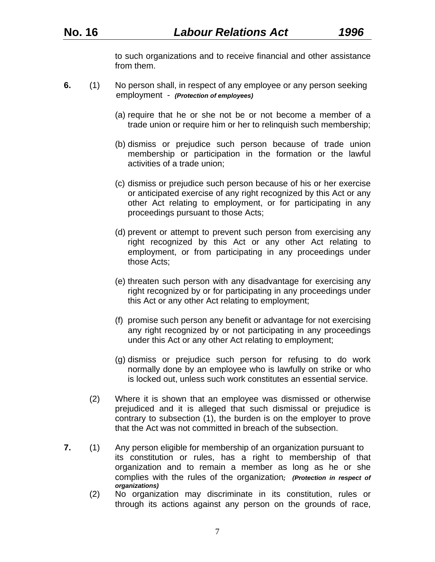to such organizations and to receive financial and other assistance from them.

- **6.** (1) No person shall, in respect of any employee or any person seeking employment - *(Protection of employees)*
	- (a) require that he or she not be or not become a member of a trade union or require him or her to relinquish such membership;
	- (b) dismiss or prejudice such person because of trade union membership or participation in the formation or the lawful activities of a trade union;
	- (c) dismiss or prejudice such person because of his or her exercise or anticipated exercise of any right recognized by this Act or any other Act relating to employment, or for participating in any proceedings pursuant to those Acts;
	- (d) prevent or attempt to prevent such person from exercising any right recognized by this Act or any other Act relating to employment, or from participating in any proceedings under those Acts;
	- (e) threaten such person with any disadvantage for exercising any right recognized by or for participating in any proceedings under this Act or any other Act relating to employment;
	- (f) promise such person any benefit or advantage for not exercising any right recognized by or not participating in any proceedings under this Act or any other Act relating to employment;
	- (g) dismiss or prejudice such person for refusing to do work normally done by an employee who is lawfully on strike or who is locked out, unless such work constitutes an essential service.
	- (2) Where it is shown that an employee was dismissed or otherwise prejudiced and it is alleged that such dismissal or prejudice is contrary to subsection (1), the burden is on the employer to prove that the Act was not committed in breach of the subsection.
- **7.** (1) Any person eligible for membership of an organization pursuant to its constitution or rules, has a right to membership of that organization and to remain a member as long as he or she complies with the rules of the organization*; (Protection in respect of organizations)* 
	- (2) No organization may discriminate in its constitution, rules or through its actions against any person on the grounds of race,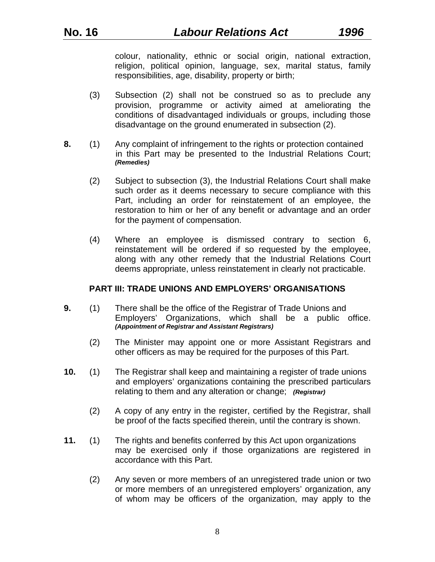colour, nationality, ethnic or social origin, national extraction, religion, political opinion, language, sex, marital status, family responsibilities, age, disability, property or birth;

- (3) Subsection (2) shall not be construed so as to preclude any provision, programme or activity aimed at ameliorating the conditions of disadvantaged individuals or groups, including those disadvantage on the ground enumerated in subsection (2).
- **8.** (1) Any complaint of infringement to the rights or protection contained in this Part may be presented to the Industrial Relations Court; *(Remedies)*
	- (2) Subject to subsection (3), the Industrial Relations Court shall make such order as it deems necessary to secure compliance with this Part, including an order for reinstatement of an employee, the restoration to him or her of any benefit or advantage and an order for the payment of compensation.
	- (4) Where an employee is dismissed contrary to section 6, reinstatement will be ordered if so requested by the employee, along with any other remedy that the Industrial Relations Court deems appropriate, unless reinstatement in clearly not practicable.

#### **PART III: TRADE UNIONS AND EMPLOYERS' ORGANISATIONS**

- **9.** (1) There shall be the office of the Registrar of Trade Unions and Employers' Organizations, which shall be a public office. *(Appointment of Registrar and Assistant Registrars)* 
	- (2) The Minister may appoint one or more Assistant Registrars and other officers as may be required for the purposes of this Part.
- **10.** (1) The Registrar shall keep and maintaining a register of trade unions and employers' organizations containing the prescribed particulars relating to them and any alteration or change; *(Registrar)*
	- (2) A copy of any entry in the register, certified by the Registrar, shall be proof of the facts specified therein, until the contrary is shown.
- **11.** (1) The rights and benefits conferred by this Act upon organizations may be exercised only if those organizations are registered in accordance with this Part.
	- (2) Any seven or more members of an unregistered trade union or two or more members of an unregistered employers' organization, any of whom may be officers of the organization, may apply to the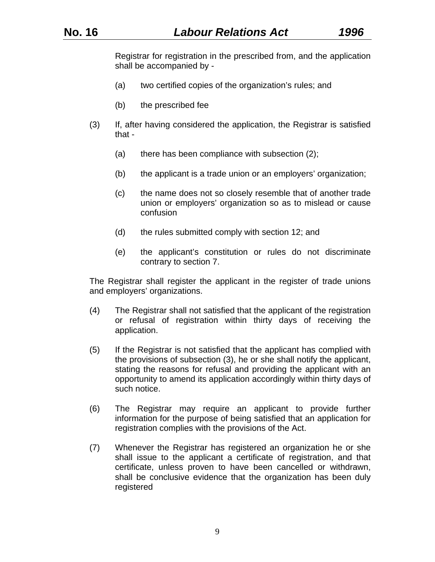Registrar for registration in the prescribed from, and the application shall be accompanied by -

- (a) two certified copies of the organization's rules; and
- (b) the prescribed fee
- (3) If, after having considered the application, the Registrar is satisfied that -
	- (a) there has been compliance with subsection (2);
	- (b) the applicant is a trade union or an employers' organization;
	- (c) the name does not so closely resemble that of another trade union or employers' organization so as to mislead or cause confusion
	- (d) the rules submitted comply with section 12; and
	- (e) the applicant's constitution or rules do not discriminate contrary to section 7.

The Registrar shall register the applicant in the register of trade unions and employers' organizations.

- (4) The Registrar shall not satisfied that the applicant of the registration or refusal of registration within thirty days of receiving the application.
- (5) If the Registrar is not satisfied that the applicant has complied with the provisions of subsection (3), he or she shall notify the applicant, stating the reasons for refusal and providing the applicant with an opportunity to amend its application accordingly within thirty days of such notice.
- (6) The Registrar may require an applicant to provide further information for the purpose of being satisfied that an application for registration complies with the provisions of the Act.
- (7) Whenever the Registrar has registered an organization he or she shall issue to the applicant a certificate of registration, and that certificate, unless proven to have been cancelled or withdrawn, shall be conclusive evidence that the organization has been duly registered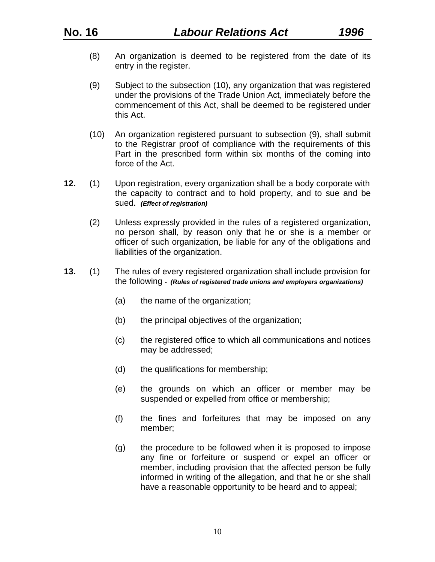- (8) An organization is deemed to be registered from the date of its entry in the register.
- (9) Subject to the subsection (10), any organization that was registered under the provisions of the Trade Union Act, immediately before the commencement of this Act, shall be deemed to be registered under this Act.
- (10) An organization registered pursuant to subsection (9), shall submit to the Registrar proof of compliance with the requirements of this Part in the prescribed form within six months of the coming into force of the Act.
- **12.** (1) Upon registration, every organization shall be a body corporate with the capacity to contract and to hold property, and to sue and be sued. *(Effect of registration)*
	- (2) Unless expressly provided in the rules of a registered organization, no person shall, by reason only that he or she is a member or officer of such organization, be liable for any of the obligations and liabilities of the organization.
- **13.** (1) The rules of every registered organization shall include provision for the following *- (Rules of registered trade unions and employers organizations)* 
	- (a) the name of the organization;
	- (b) the principal objectives of the organization;
	- (c) the registered office to which all communications and notices may be addressed;
	- (d) the qualifications for membership;
	- (e) the grounds on which an officer or member may be suspended or expelled from office or membership;
	- (f) the fines and forfeitures that may be imposed on any member;
	- (g) the procedure to be followed when it is proposed to impose any fine or forfeiture or suspend or expel an officer or member, including provision that the affected person be fully informed in writing of the allegation, and that he or she shall have a reasonable opportunity to be heard and to appeal;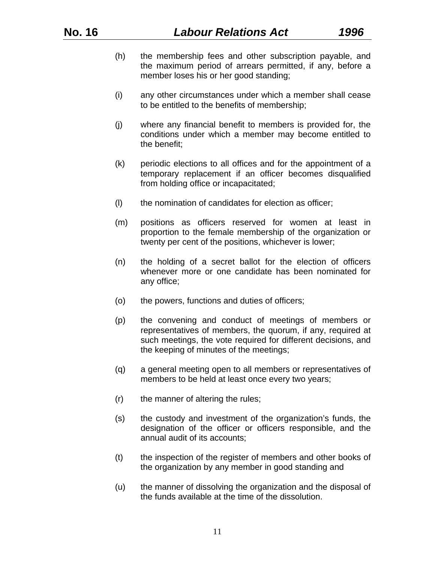- (h) the membership fees and other subscription payable, and the maximum period of arrears permitted, if any, before a member loses his or her good standing;
- (i) any other circumstances under which a member shall cease to be entitled to the benefits of membership;
- (j) where any financial benefit to members is provided for, the conditions under which a member may become entitled to the benefit;
- (k) periodic elections to all offices and for the appointment of a temporary replacement if an officer becomes disqualified from holding office or incapacitated;
- (l) the nomination of candidates for election as officer;
- (m) positions as officers reserved for women at least in proportion to the female membership of the organization or twenty per cent of the positions, whichever is lower;
- (n) the holding of a secret ballot for the election of officers whenever more or one candidate has been nominated for any office;
- (o) the powers, functions and duties of officers;
- (p) the convening and conduct of meetings of members or representatives of members, the quorum, if any, required at such meetings, the vote required for different decisions, and the keeping of minutes of the meetings;
- (q) a general meeting open to all members or representatives of members to be held at least once every two years;
- (r) the manner of altering the rules;
- (s) the custody and investment of the organization's funds, the designation of the officer or officers responsible, and the annual audit of its accounts;
- (t) the inspection of the register of members and other books of the organization by any member in good standing and
- (u) the manner of dissolving the organization and the disposal of the funds available at the time of the dissolution.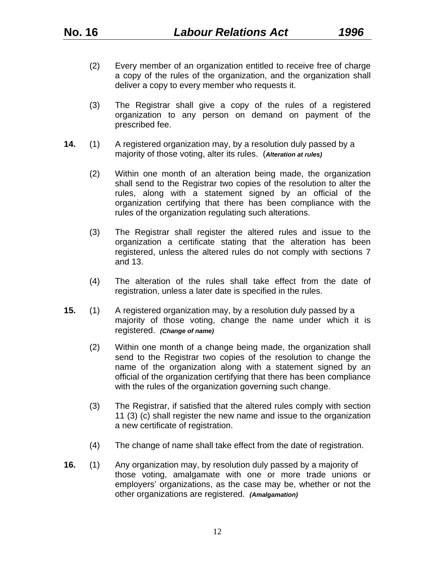- (2) Every member of an organization entitled to receive free of charge a copy of the rules of the organization, and the organization shall deliver a copy to every member who requests it.
- (3) The Registrar shall give a copy of the rules of a registered organization to any person on demand on payment of the prescribed fee.
- **14.** (1) A registered organization may, by a resolution duly passed by a majority of those voting, alter its rules. (*Alteration at rules)*
	- (2) Within one month of an alteration being made, the organization shall send to the Registrar two copies of the resolution to alter the rules, along with a statement signed by an official of the organization certifying that there has been compliance with the rules of the organization regulating such alterations.
	- (3) The Registrar shall register the altered rules and issue to the organization a certificate stating that the alteration has been registered, unless the altered rules do not comply with sections 7 and 13.
	- (4) The alteration of the rules shall take effect from the date of registration, unless a later date is specified in the rules.
- **15.** (1) A registered organization may, by a resolution duly passed by a majority of those voting, change the name under which it is registered. *(Change of name)* 
	- (2) Within one month of a change being made, the organization shall send to the Registrar two copies of the resolution to change the name of the organization along with a statement signed by an official of the organization certifying that there has been compliance with the rules of the organization governing such change.
	- (3) The Registrar, if satisfied that the altered rules comply with section 11 (3) (c) shall register the new name and issue to the organization a new certificate of registration.
	- (4) The change of name shall take effect from the date of registration.
- **16.** (1) Any organization may, by resolution duly passed by a majority of those voting, amalgamate with one or more trade unions or employers' organizations, as the case may be, whether or not the other organizations are registered. *(Amalgamation)*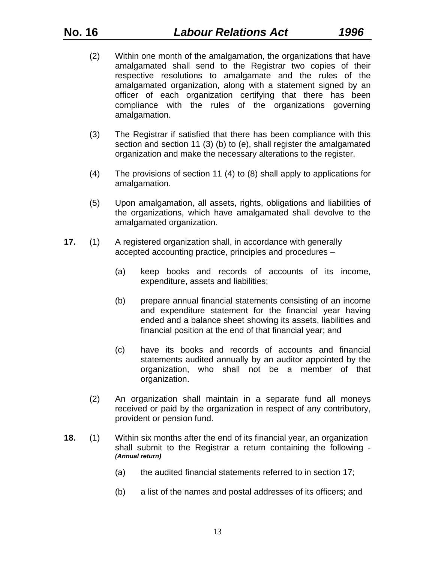- (2) Within one month of the amalgamation, the organizations that have amalgamated shall send to the Registrar two copies of their respective resolutions to amalgamate and the rules of the amalgamated organization, along with a statement signed by an officer of each organization certifying that there has been compliance with the rules of the organizations governing amalgamation.
- (3) The Registrar if satisfied that there has been compliance with this section and section 11 (3) (b) to (e), shall register the amalgamated organization and make the necessary alterations to the register.
- (4) The provisions of section 11 (4) to (8) shall apply to applications for amalgamation.
- (5) Upon amalgamation, all assets, rights, obligations and liabilities of the organizations, which have amalgamated shall devolve to the amalgamated organization.
- **17.** (1) A registered organization shall, in accordance with generally accepted accounting practice, principles and procedures –
	- (a) keep books and records of accounts of its income, expenditure, assets and liabilities;
	- (b) prepare annual financial statements consisting of an income and expenditure statement for the financial year having ended and a balance sheet showing its assets, liabilities and financial position at the end of that financial year; and
	- (c) have its books and records of accounts and financial statements audited annually by an auditor appointed by the organization, who shall not be a member of that organization.
	- (2) An organization shall maintain in a separate fund all moneys received or paid by the organization in respect of any contributory, provident or pension fund.
- **18.** (1) Within six months after the end of its financial year, an organization shall submit to the Registrar a return containing the following - *(Annual return)* 
	- (a) the audited financial statements referred to in section 17;
	- (b) a list of the names and postal addresses of its officers; and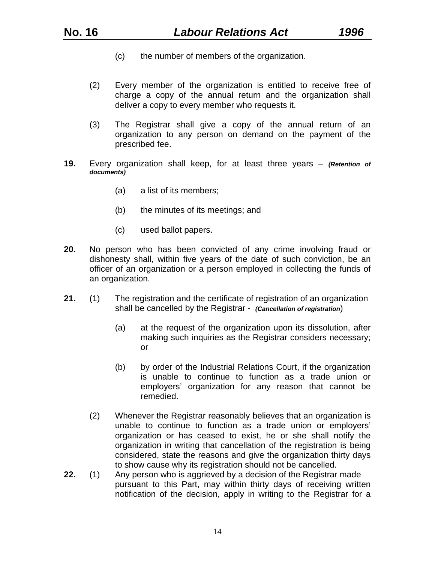- (c) the number of members of the organization.
- (2) Every member of the organization is entitled to receive free of charge a copy of the annual return and the organization shall deliver a copy to every member who requests it.
- (3) The Registrar shall give a copy of the annual return of an organization to any person on demand on the payment of the prescribed fee.
- **19.** Every organization shall keep, for at least three years *(Retention of documents)* 
	- (a) a list of its members;
	- (b) the minutes of its meetings; and
	- (c) used ballot papers.
- **20.** No person who has been convicted of any crime involving fraud or dishonesty shall, within five years of the date of such conviction, be an officer of an organization or a person employed in collecting the funds of an organization.
- **21.** (1) The registration and the certificate of registration of an organization shall be cancelled by the Registrar - *(Cancellation of registration*)
	- (a) at the request of the organization upon its dissolution, after making such inquiries as the Registrar considers necessary; or
	- (b) by order of the Industrial Relations Court, if the organization is unable to continue to function as a trade union or employers' organization for any reason that cannot be remedied.
	- (2) Whenever the Registrar reasonably believes that an organization is unable to continue to function as a trade union or employers' organization or has ceased to exist, he or she shall notify the organization in writing that cancellation of the registration is being considered, state the reasons and give the organization thirty days to show cause why its registration should not be cancelled.
- **22.** (1) Any person who is aggrieved by a decision of the Registrar made pursuant to this Part, may within thirty days of receiving written notification of the decision, apply in writing to the Registrar for a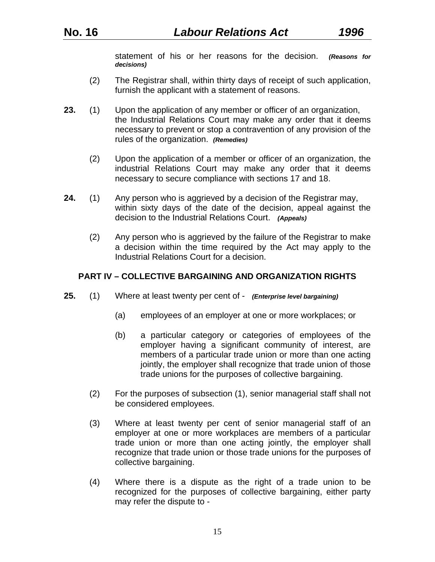statement of his or her reasons for the decision. *(Reasons for decisions)*

- (2) The Registrar shall, within thirty days of receipt of such application, furnish the applicant with a statement of reasons.
- **23.** (1) Upon the application of any member or officer of an organization, the Industrial Relations Court may make any order that it deems necessary to prevent or stop a contravention of any provision of the rules of the organization. *(Remedies)*
	- (2) Upon the application of a member or officer of an organization, the industrial Relations Court may make any order that it deems necessary to secure compliance with sections 17 and 18.
- **24.** (1) Any person who is aggrieved by a decision of the Registrar may, within sixty days of the date of the decision, appeal against the decision to the Industrial Relations Court. *(Appeals)*
	- (2) Any person who is aggrieved by the failure of the Registrar to make a decision within the time required by the Act may apply to the Industrial Relations Court for a decision.

### **PART IV – COLLECTIVE BARGAINING AND ORGANIZATION RIGHTS**

- **25.** (1) Where at least twenty per cent of *(Enterprise level bargaining)*
	- (a) employees of an employer at one or more workplaces; or
	- (b) a particular category or categories of employees of the employer having a significant community of interest, are members of a particular trade union or more than one acting jointly, the employer shall recognize that trade union of those trade unions for the purposes of collective bargaining.
	- (2) For the purposes of subsection (1), senior managerial staff shall not be considered employees.
	- (3) Where at least twenty per cent of senior managerial staff of an employer at one or more workplaces are members of a particular trade union or more than one acting jointly, the employer shall recognize that trade union or those trade unions for the purposes of collective bargaining.
	- (4) Where there is a dispute as the right of a trade union to be recognized for the purposes of collective bargaining, either party may refer the dispute to -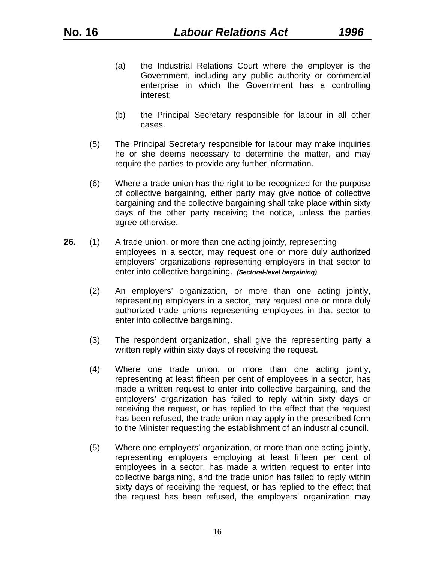- (a) the Industrial Relations Court where the employer is the Government, including any public authority or commercial enterprise in which the Government has a controlling interest;
- (b) the Principal Secretary responsible for labour in all other cases.
- (5) The Principal Secretary responsible for labour may make inquiries he or she deems necessary to determine the matter, and may require the parties to provide any further information.
- (6) Where a trade union has the right to be recognized for the purpose of collective bargaining, either party may give notice of collective bargaining and the collective bargaining shall take place within sixty days of the other party receiving the notice, unless the parties agree otherwise.
- **26.** (1) A trade union, or more than one acting jointly, representing employees in a sector, may request one or more duly authorized employers' organizations representing employers in that sector to enter into collective bargaining. *(Sectoral-level bargaining)*
	- (2) An employers' organization, or more than one acting jointly, representing employers in a sector, may request one or more duly authorized trade unions representing employees in that sector to enter into collective bargaining.
	- (3) The respondent organization, shall give the representing party a written reply within sixty days of receiving the request.
	- (4) Where one trade union, or more than one acting jointly, representing at least fifteen per cent of employees in a sector, has made a written request to enter into collective bargaining, and the employers' organization has failed to reply within sixty days or receiving the request, or has replied to the effect that the request has been refused, the trade union may apply in the prescribed form to the Minister requesting the establishment of an industrial council.
	- (5) Where one employers' organization, or more than one acting jointly, representing employers employing at least fifteen per cent of employees in a sector, has made a written request to enter into collective bargaining, and the trade union has failed to reply within sixty days of receiving the request, or has replied to the effect that the request has been refused, the employers' organization may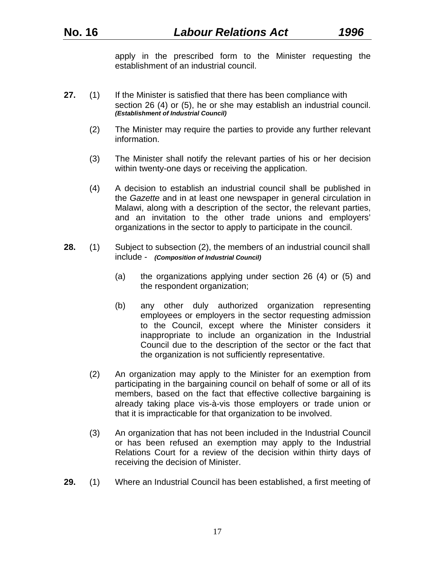apply in the prescribed form to the Minister requesting the establishment of an industrial council.

- 27. (1) If the Minister is satisfied that there has been compliance with section 26 (4) or (5), he or she may establish an industrial council. *(Establishment of Industrial Council)* 
	- (2) The Minister may require the parties to provide any further relevant information.
	- (3) The Minister shall notify the relevant parties of his or her decision within twenty-one days or receiving the application.
	- (4) A decision to establish an industrial council shall be published in the *Gazette* and in at least one newspaper in general circulation in Malawi, along with a description of the sector, the relevant parties, and an invitation to the other trade unions and employers' organizations in the sector to apply to participate in the council.
- **28.** (1) Subject to subsection (2), the members of an industrial council shall include - *(Composition of Industrial Council)*
	- (a) the organizations applying under section 26 (4) or (5) and the respondent organization;
	- (b) any other duly authorized organization representing employees or employers in the sector requesting admission to the Council, except where the Minister considers it inappropriate to include an organization in the Industrial Council due to the description of the sector or the fact that the organization is not sufficiently representative.
	- (2) An organization may apply to the Minister for an exemption from participating in the bargaining council on behalf of some or all of its members, based on the fact that effective collective bargaining is already taking place vis-à-vis those employers or trade union or that it is impracticable for that organization to be involved.
	- (3) An organization that has not been included in the Industrial Council or has been refused an exemption may apply to the Industrial Relations Court for a review of the decision within thirty days of receiving the decision of Minister.
- **29.** (1) Where an Industrial Council has been established, a first meeting of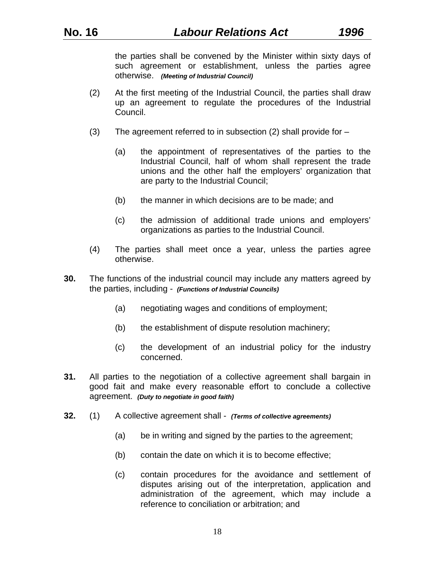the parties shall be convened by the Minister within sixty days of such agreement or establishment, unless the parties agree otherwise. *(Meeting of Industrial Council)* 

- (2) At the first meeting of the Industrial Council, the parties shall draw up an agreement to regulate the procedures of the Industrial Council.
- (3) The agreement referred to in subsection (2) shall provide for  $-$ 
	- (a) the appointment of representatives of the parties to the Industrial Council, half of whom shall represent the trade unions and the other half the employers' organization that are party to the Industrial Council;
	- (b) the manner in which decisions are to be made; and
	- (c) the admission of additional trade unions and employers' organizations as parties to the Industrial Council.
- (4) The parties shall meet once a year, unless the parties agree otherwise.
- **30.** The functions of the industrial council may include any matters agreed by the parties, including - *(Functions of Industrial Councils)* 
	- (a) negotiating wages and conditions of employment;
	- (b) the establishment of dispute resolution machinery;
	- (c) the development of an industrial policy for the industry concerned.
- **31.** All parties to the negotiation of a collective agreement shall bargain in good fait and make every reasonable effort to conclude a collective agreement. *(Duty to negotiate in good faith)*
- **32.** (1) A collective agreement shall *(Terms of collective agreements)* 
	- (a) be in writing and signed by the parties to the agreement;
	- (b) contain the date on which it is to become effective;
	- (c) contain procedures for the avoidance and settlement of disputes arising out of the interpretation, application and administration of the agreement, which may include a reference to conciliation or arbitration; and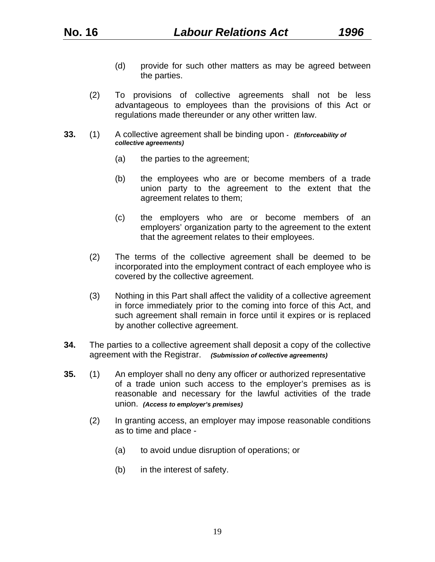- (d) provide for such other matters as may be agreed between the parties.
- (2) To provisions of collective agreements shall not be less advantageous to employees than the provisions of this Act or regulations made thereunder or any other written law.
- **33.** (1) A collective agreement shall be binding upon  *(Enforceability of collective agreements)* 
	- (a) the parties to the agreement;
	- (b) the employees who are or become members of a trade union party to the agreement to the extent that the agreement relates to them;
	- (c) the employers who are or become members of an employers' organization party to the agreement to the extent that the agreement relates to their employees.
	- (2) The terms of the collective agreement shall be deemed to be incorporated into the employment contract of each employee who is covered by the collective agreement.
	- (3) Nothing in this Part shall affect the validity of a collective agreement in force immediately prior to the coming into force of this Act, and such agreement shall remain in force until it expires or is replaced by another collective agreement.
- **34.** The parties to a collective agreement shall deposit a copy of the collective agreement with the Registrar. *(Submission of collective agreements)*
- **35.** (1) An employer shall no deny any officer or authorized representative of a trade union such access to the employer's premises as is reasonable and necessary for the lawful activities of the trade union. *(Access to employer's premises)* 
	- (2) In granting access, an employer may impose reasonable conditions as to time and place -
		- (a) to avoid undue disruption of operations; or
		- (b) in the interest of safety.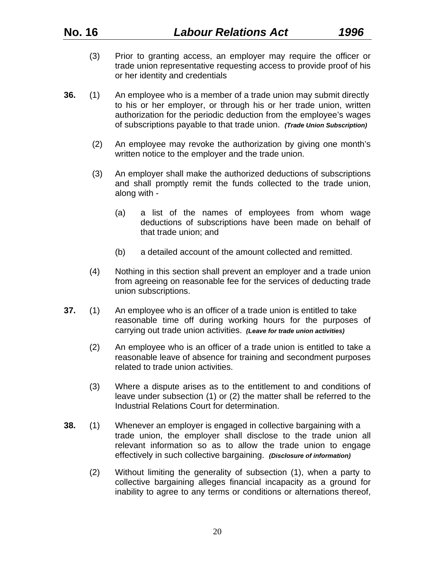- (3) Prior to granting access, an employer may require the officer or trade union representative requesting access to provide proof of his or her identity and credentials
- **36.** (1) An employee who is a member of a trade union may submit directly to his or her employer, or through his or her trade union, written authorization for the periodic deduction from the employee's wages of subscriptions payable to that trade union. *(Trade Union Subscription)*
	- (2) An employee may revoke the authorization by giving one month's written notice to the employer and the trade union.
	- (3) An employer shall make the authorized deductions of subscriptions and shall promptly remit the funds collected to the trade union, along with -
		- (a) a list of the names of employees from whom wage deductions of subscriptions have been made on behalf of that trade union; and
		- (b) a detailed account of the amount collected and remitted.
	- (4) Nothing in this section shall prevent an employer and a trade union from agreeing on reasonable fee for the services of deducting trade union subscriptions.
- **37.** (1) An employee who is an officer of a trade union is entitled to take reasonable time off during working hours for the purposes of carrying out trade union activities. *(Leave for trade union activities)* 
	- (2) An employee who is an officer of a trade union is entitled to take a reasonable leave of absence for training and secondment purposes related to trade union activities.
	- (3) Where a dispute arises as to the entitlement to and conditions of leave under subsection (1) or (2) the matter shall be referred to the Industrial Relations Court for determination.
- **38.** (1) Whenever an employer is engaged in collective bargaining with a trade union, the employer shall disclose to the trade union all relevant information so as to allow the trade union to engage effectively in such collective bargaining. *(Disclosure of information)* 
	- (2) Without limiting the generality of subsection (1), when a party to collective bargaining alleges financial incapacity as a ground for inability to agree to any terms or conditions or alternations thereof,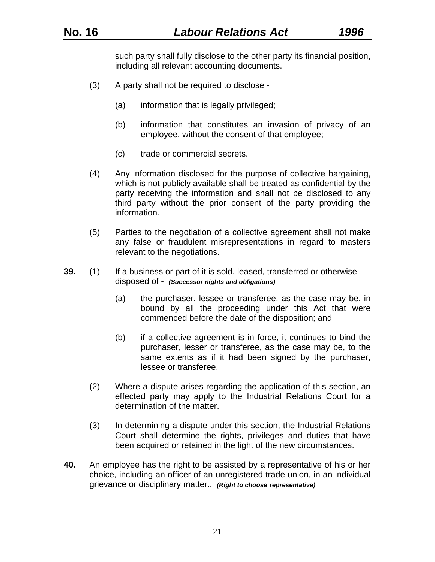such party shall fully disclose to the other party its financial position, including all relevant accounting documents.

- (3) A party shall not be required to disclose
	- (a) information that is legally privileged;
	- (b) information that constitutes an invasion of privacy of an employee, without the consent of that employee;
	- (c) trade or commercial secrets.
- (4) Any information disclosed for the purpose of collective bargaining, which is not publicly available shall be treated as confidential by the party receiving the information and shall not be disclosed to any third party without the prior consent of the party providing the information.
- (5) Parties to the negotiation of a collective agreement shall not make any false or fraudulent misrepresentations in regard to masters relevant to the negotiations.
- **39.** (1) If a business or part of it is sold, leased, transferred or otherwise disposed of - *(Successor nights and obligations)* 
	- (a) the purchaser, lessee or transferee, as the case may be, in bound by all the proceeding under this Act that were commenced before the date of the disposition; and
	- (b) if a collective agreement is in force, it continues to bind the purchaser, lesser or transferee, as the case may be, to the same extents as if it had been signed by the purchaser, lessee or transferee.
	- (2) Where a dispute arises regarding the application of this section, an effected party may apply to the Industrial Relations Court for a determination of the matter.
	- (3) In determining a dispute under this section, the Industrial Relations Court shall determine the rights, privileges and duties that have been acquired or retained in the light of the new circumstances.
- **40.** An employee has the right to be assisted by a representative of his or her choice, including an officer of an unregistered trade union, in an individual grievance or disciplinary matter.. *(Right to choose representative)*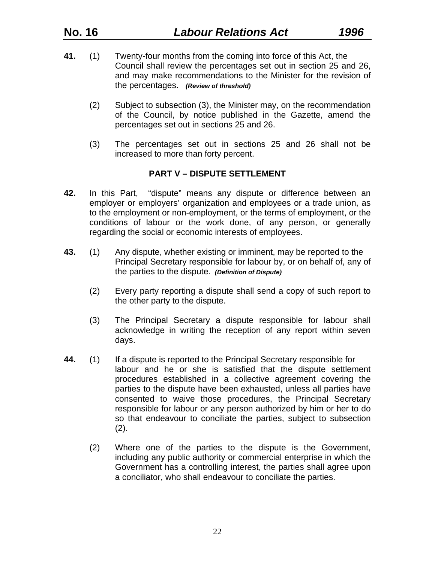- **41.** (1) Twenty-four months from the coming into force of this Act, the Council shall review the percentages set out in section 25 and 26, and may make recommendations to the Minister for the revision of the percentages. *(Review of threshold)*
	- (2) Subject to subsection (3), the Minister may, on the recommendation of the Council, by notice published in the Gazette, amend the percentages set out in sections 25 and 26.
	- (3) The percentages set out in sections 25 and 26 shall not be increased to more than forty percent.

## **PART V – DISPUTE SETTLEMENT**

- **42.** In this Part, "dispute" means any dispute or difference between an employer or employers' organization and employees or a trade union, as to the employment or non-employment, or the terms of employment, or the conditions of labour or the work done, of any person, or generally regarding the social or economic interests of employees.
- **43.** (1) Any dispute, whether existing or imminent, may be reported to the Principal Secretary responsible for labour by, or on behalf of, any of the parties to the dispute. *(Definition of Dispute)* 
	- (2) Every party reporting a dispute shall send a copy of such report to the other party to the dispute.
	- (3) The Principal Secretary a dispute responsible for labour shall acknowledge in writing the reception of any report within seven days.
- **44.** (1) If a dispute is reported to the Principal Secretary responsible for labour and he or she is satisfied that the dispute settlement procedures established in a collective agreement covering the parties to the dispute have been exhausted, unless all parties have consented to waive those procedures, the Principal Secretary responsible for labour or any person authorized by him or her to do so that endeavour to conciliate the parties, subject to subsection  $(2).$ 
	- (2) Where one of the parties to the dispute is the Government, including any public authority or commercial enterprise in which the Government has a controlling interest, the parties shall agree upon a conciliator, who shall endeavour to conciliate the parties.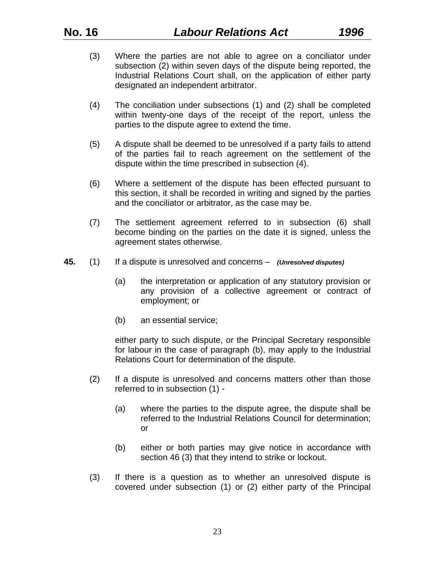- (3) Where the parties are not able to agree on a conciliator under subsection (2) within seven days of the dispute being reported, the Industrial Relations Court shall, on the application of either party designated an independent arbitrator.
- (4) The conciliation under subsections (1) and (2) shall be completed within twenty-one days of the receipt of the report, unless the parties to the dispute agree to extend the time.
- (5) A dispute shall be deemed to be unresolved if a party fails to attend of the parties fail to reach agreement on the settlement of the dispute within the time prescribed in subsection (4).
- (6) Where a settlement of the dispute has been effected pursuant to this section, it shall be recorded in writing and signed by the parties and the conciliator or arbitrator, as the case may be.
- (7) The settlement agreement referred to in subsection (6) shall become binding on the parties on the date it is signed, unless the agreement states otherwise.
- **45.** (1) If a dispute is unresolved and concerns *(Unresolved disputes)*
	- (a) the interpretation or application of any statutory provision or any provision of a collective agreement or contract of employment; or
	- (b) an essential service;

either party to such dispute, or the Principal Secretary responsible for labour in the case of paragraph (b), may apply to the Industrial Relations Court for determination of the dispute.

- (2) If a dispute is unresolved and concerns matters other than those referred to in subsection (1) -
	- (a) where the parties to the dispute agree, the dispute shall be referred to the Industrial Relations Council for determination; or
	- (b) either or both parties may give notice in accordance with section 46 (3) that they intend to strike or lockout.
- (3) If there is a question as to whether an unresolved dispute is covered under subsection (1) or (2) either party of the Principal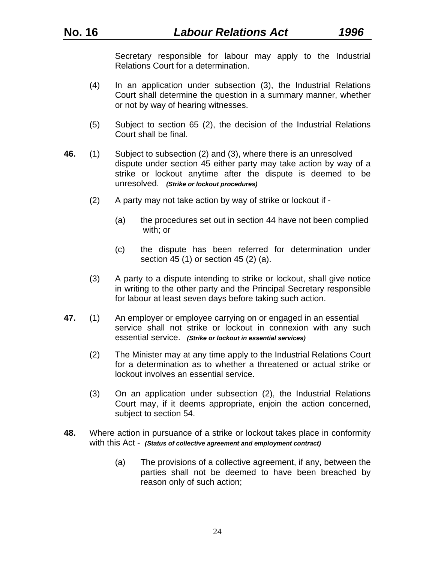Secretary responsible for labour may apply to the Industrial Relations Court for a determination.

- (4) In an application under subsection (3), the Industrial Relations Court shall determine the question in a summary manner, whether or not by way of hearing witnesses.
- (5) Subject to section 65 (2), the decision of the Industrial Relations Court shall be final.
- **46.** (1) Subject to subsection (2) and (3), where there is an unresolved dispute under section 45 either party may take action by way of a strike or lockout anytime after the dispute is deemed to be unresolved. *(Strike or lockout procedures)* 
	- (2) A party may not take action by way of strike or lockout if
		- (a) the procedures set out in section 44 have not been complied with; or
		- (c) the dispute has been referred for determination under section 45 (1) or section 45 (2) (a).
	- (3) A party to a dispute intending to strike or lockout, shall give notice in writing to the other party and the Principal Secretary responsible for labour at least seven days before taking such action.
- **47.** (1) An employer or employee carrying on or engaged in an essential service shall not strike or lockout in connexion with any such essential service. *(Strike or lockout in essential services)* 
	- (2) The Minister may at any time apply to the Industrial Relations Court for a determination as to whether a threatened or actual strike or lockout involves an essential service.
	- (3) On an application under subsection (2), the Industrial Relations Court may, if it deems appropriate, enjoin the action concerned, subject to section 54.
- **48.** Where action in pursuance of a strike or lockout takes place in conformity with this Act - *(Status of collective agreement and employment contract)*
	- (a) The provisions of a collective agreement, if any, between the parties shall not be deemed to have been breached by reason only of such action;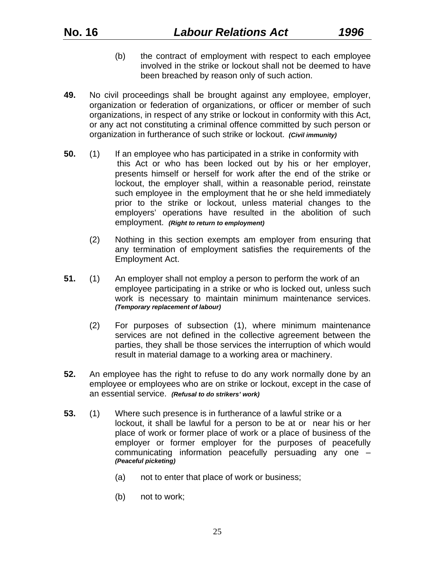- (b) the contract of employment with respect to each employee involved in the strike or lockout shall not be deemed to have been breached by reason only of such action.
- **49.** No civil proceedings shall be brought against any employee, employer, organization or federation of organizations, or officer or member of such organizations, in respect of any strike or lockout in conformity with this Act, or any act not constituting a criminal offence committed by such person or organization in furtherance of such strike or lockout. *(Civil immunity)*
- **50.** (1) If an employee who has participated in a strike in conformity with this Act or who has been locked out by his or her employer, presents himself or herself for work after the end of the strike or lockout, the employer shall, within a reasonable period, reinstate such employee in the employment that he or she held immediately prior to the strike or lockout, unless material changes to the employers' operations have resulted in the abolition of such employment. *(Right to return to employment)* 
	- (2) Nothing in this section exempts am employer from ensuring that any termination of employment satisfies the requirements of the Employment Act.
- **51.** (1) An employer shall not employ a person to perform the work of an employee participating in a strike or who is locked out, unless such work is necessary to maintain minimum maintenance services. *(Temporary replacement of labour)*
	- (2) For purposes of subsection (1), where minimum maintenance services are not defined in the collective agreement between the parties, they shall be those services the interruption of which would result in material damage to a working area or machinery.
- **52.** An employee has the right to refuse to do any work normally done by an employee or employees who are on strike or lockout, except in the case of an essential service. *(Refusal to do strikers' work)*
- **53.** (1) Where such presence is in furtherance of a lawful strike or a lockout, it shall be lawful for a person to be at or near his or her place of work or former place of work or a place of business of the employer or former employer for the purposes of peacefully communicating information peacefully persuading any one – *(Peaceful picketing)* 
	- (a) not to enter that place of work or business;
	- (b) not to work;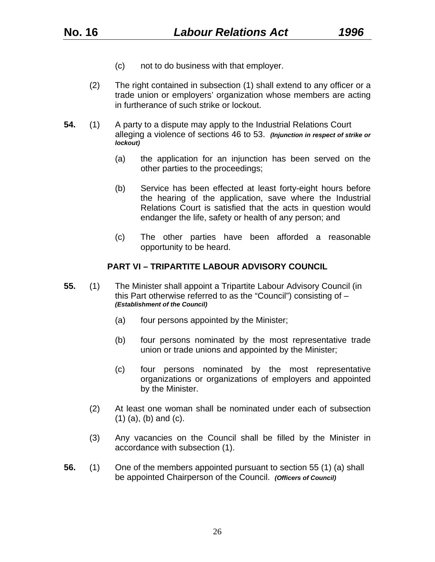- (c) not to do business with that employer.
- (2) The right contained in subsection (1) shall extend to any officer or a trade union or employers' organization whose members are acting in furtherance of such strike or lockout.
- **54.** (1) A party to a dispute may apply to the Industrial Relations Court alleging a violence of sections 46 to 53. *(Injunction in respect of strike or lockout)*
	- (a) the application for an injunction has been served on the other parties to the proceedings;
	- (b) Service has been effected at least forty-eight hours before the hearing of the application, save where the Industrial Relations Court is satisfied that the acts in question would endanger the life, safety or health of any person; and
	- (c) The other parties have been afforded a reasonable opportunity to be heard.

#### **PART VI – TRIPARTITE LABOUR ADVISORY COUNCIL**

- **55.** (1) The Minister shall appoint a Tripartite Labour Advisory Council (in this Part otherwise referred to as the "Council") consisting of – *(Establishment of the Council)* 
	- (a) four persons appointed by the Minister;
	- (b) four persons nominated by the most representative trade union or trade unions and appointed by the Minister;
	- (c) four persons nominated by the most representative organizations or organizations of employers and appointed by the Minister.
	- (2) At least one woman shall be nominated under each of subsection (1) (a), (b) and (c).
	- (3) Any vacancies on the Council shall be filled by the Minister in accordance with subsection (1).
- **56.** (1) One of the members appointed pursuant to section 55 (1) (a) shall be appointed Chairperson of the Council. *(Officers of Council)*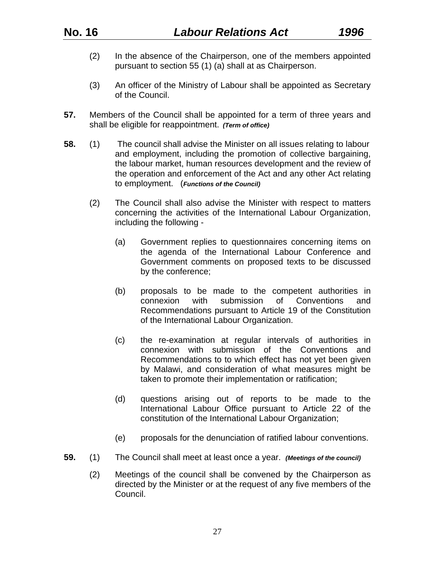- (2) In the absence of the Chairperson, one of the members appointed pursuant to section 55 (1) (a) shall at as Chairperson.
- (3) An officer of the Ministry of Labour shall be appointed as Secretary of the Council.
- **57.** Members of the Council shall be appointed for a term of three years and shall be eligible for reappointment. *(Term of office)*
- **58.** (1) The council shall advise the Minister on all issues relating to labour and employment, including the promotion of collective bargaining, the labour market, human resources development and the review of the operation and enforcement of the Act and any other Act relating to employment. (*Functions of the Council)* 
	- (2) The Council shall also advise the Minister with respect to matters concerning the activities of the International Labour Organization, including the following -
		- (a) Government replies to questionnaires concerning items on the agenda of the International Labour Conference and Government comments on proposed texts to be discussed by the conference;
		- (b) proposals to be made to the competent authorities in connexion with submission of Conventions and Recommendations pursuant to Article 19 of the Constitution of the International Labour Organization.
		- (c) the re-examination at regular intervals of authorities in connexion with submission of the Conventions and Recommendations to to which effect has not yet been given by Malawi, and consideration of what measures might be taken to promote their implementation or ratification;
		- (d) questions arising out of reports to be made to the International Labour Office pursuant to Article 22 of the constitution of the International Labour Organization;
		- (e) proposals for the denunciation of ratified labour conventions.
- **59.** (1) The Council shall meet at least once a year. *(Meetings of the council)* 
	- (2) Meetings of the council shall be convened by the Chairperson as directed by the Minister or at the request of any five members of the Council.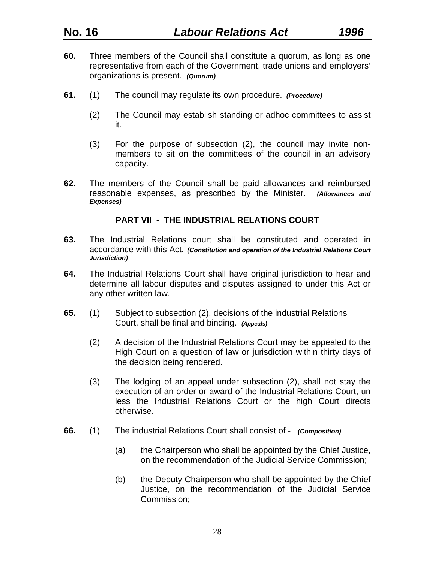- **60.** Three members of the Council shall constitute a quorum, as long as one representative from each of the Government, trade unions and employers' organizations is present*. (Quorum)*
- **61.** (1) The council may regulate its own procedure. *(Procedure)*
	- (2) The Council may establish standing or adhoc committees to assist it.
	- (3) For the purpose of subsection (2), the council may invite nonmembers to sit on the committees of the council in an advisory capacity.
- **62.** The members of the Council shall be paid allowances and reimbursed reasonable expenses, as prescribed by the Minister. *(Allowances and Expenses)*

#### **PART VII - THE INDUSTRIAL RELATIONS COURT**

- **63.** The Industrial Relations court shall be constituted and operated in accordance with this Act*. (Constitution and operation of the Industrial Relations Court Jurisdiction)*
- **64.** The Industrial Relations Court shall have original jurisdiction to hear and determine all labour disputes and disputes assigned to under this Act or any other written law.
- **65.** (1) Subject to subsection (2), decisions of the industrial Relations Court, shall be final and binding. *(Appeals)*
	- (2) A decision of the Industrial Relations Court may be appealed to the High Court on a question of law or jurisdiction within thirty days of the decision being rendered.
	- (3) The lodging of an appeal under subsection (2), shall not stay the execution of an order or award of the Industrial Relations Court, un less the Industrial Relations Court or the high Court directs otherwise.
- **66.** (1) The industrial Relations Court shall consist of *(Composition)*
	- (a) the Chairperson who shall be appointed by the Chief Justice, on the recommendation of the Judicial Service Commission;
	- (b) the Deputy Chairperson who shall be appointed by the Chief Justice, on the recommendation of the Judicial Service Commission;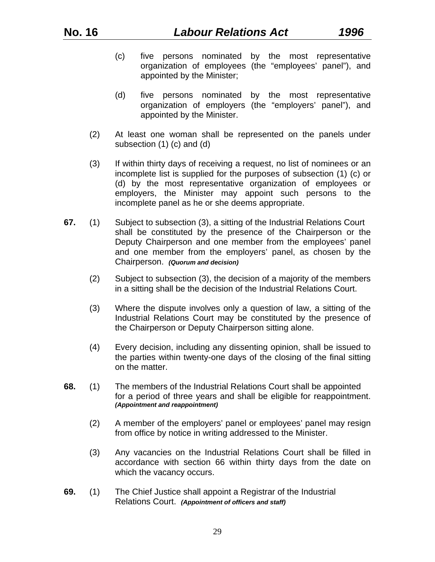- (c) five persons nominated by the most representative organization of employees (the "employees' panel"), and appointed by the Minister;
- (d) five persons nominated by the most representative organization of employers (the "employers' panel"), and appointed by the Minister.
- (2) At least one woman shall be represented on the panels under subsection (1) (c) and (d)
- (3) If within thirty days of receiving a request, no list of nominees or an incomplete list is supplied for the purposes of subsection (1) (c) or (d) by the most representative organization of employees or employers, the Minister may appoint such persons to the incomplete panel as he or she deems appropriate.
- **67.** (1) Subject to subsection (3), a sitting of the Industrial Relations Court shall be constituted by the presence of the Chairperson or the Deputy Chairperson and one member from the employees' panel and one member from the employers' panel, as chosen by the Chairperson. *(Quorum and decision)* 
	- (2) Subject to subsection (3), the decision of a majority of the members in a sitting shall be the decision of the Industrial Relations Court.
	- (3) Where the dispute involves only a question of law, a sitting of the Industrial Relations Court may be constituted by the presence of the Chairperson or Deputy Chairperson sitting alone.
	- (4) Every decision, including any dissenting opinion, shall be issued to the parties within twenty-one days of the closing of the final sitting on the matter.
- **68.** (1) The members of the Industrial Relations Court shall be appointed for a period of three years and shall be eligible for reappointment. *(Appointment and reappointment)* 
	- (2) A member of the employers' panel or employees' panel may resign from office by notice in writing addressed to the Minister.
	- (3) Any vacancies on the Industrial Relations Court shall be filled in accordance with section 66 within thirty days from the date on which the vacancy occurs.
- **69.** (1) The Chief Justice shall appoint a Registrar of the Industrial Relations Court. *(Appointment of officers and staff)*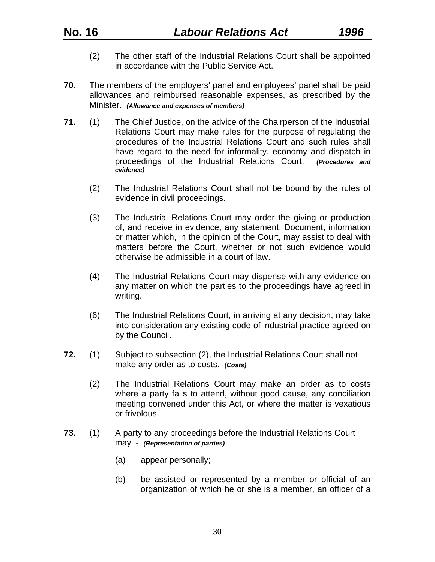- (2) The other staff of the Industrial Relations Court shall be appointed in accordance with the Public Service Act.
- **70.** The members of the employers' panel and employees' panel shall be paid allowances and reimbursed reasonable expenses, as prescribed by the Minister. *(Allowance and expenses of members)*
- **71.** (1) The Chief Justice, on the advice of the Chairperson of the Industrial Relations Court may make rules for the purpose of regulating the procedures of the Industrial Relations Court and such rules shall have regard to the need for informality, economy and dispatch in proceedings of the Industrial Relations Court. *(Procedures and evidence)* 
	- (2) The Industrial Relations Court shall not be bound by the rules of evidence in civil proceedings.
	- (3) The Industrial Relations Court may order the giving or production of, and receive in evidence, any statement. Document, information or matter which, in the opinion of the Court, may assist to deal with matters before the Court, whether or not such evidence would otherwise be admissible in a court of law.
	- (4) The Industrial Relations Court may dispense with any evidence on any matter on which the parties to the proceedings have agreed in writing.
	- (6) The Industrial Relations Court, in arriving at any decision, may take into consideration any existing code of industrial practice agreed on by the Council.
- **72.** (1) Subject to subsection (2), the Industrial Relations Court shall not make any order as to costs. *(Costs)*
	- (2) The Industrial Relations Court may make an order as to costs where a party fails to attend, without good cause, any conciliation meeting convened under this Act, or where the matter is vexatious or frivolous.
- **73.** (1) A party to any proceedings before the Industrial Relations Court may - *(Representation of parties)* 
	- (a) appear personally;
	- (b) be assisted or represented by a member or official of an organization of which he or she is a member, an officer of a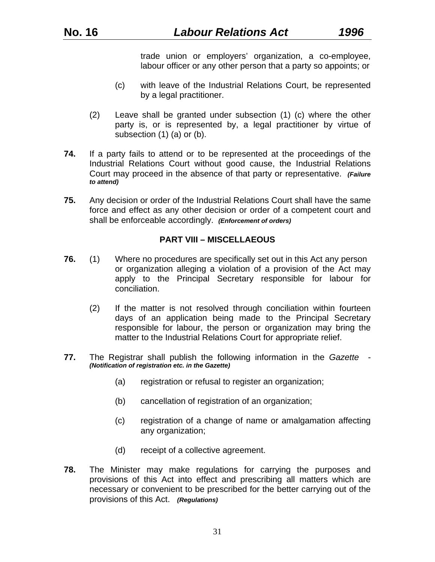trade union or employers' organization, a co-employee, labour officer or any other person that a party so appoints; or

- (c) with leave of the Industrial Relations Court, be represented by a legal practitioner.
- (2) Leave shall be granted under subsection (1) (c) where the other party is, or is represented by, a legal practitioner by virtue of subsection (1) (a) or (b).
- **74.** If a party fails to attend or to be represented at the proceedings of the Industrial Relations Court without good cause, the Industrial Relations Court may proceed in the absence of that party or representative. *(Failure to attend)*
- **75.** Any decision or order of the Industrial Relations Court shall have the same force and effect as any other decision or order of a competent court and shall be enforceable accordingly. *(Enforcement of orders)*

## **PART VIII – MISCELLAEOUS**

- **76.** (1) Where no procedures are specifically set out in this Act any person or organization alleging a violation of a provision of the Act may apply to the Principal Secretary responsible for labour for conciliation.
	- (2) If the matter is not resolved through conciliation within fourteen days of an application being made to the Principal Secretary responsible for labour, the person or organization may bring the matter to the Industrial Relations Court for appropriate relief.
- **77.** The Registrar shall publish the following information in the *Gazette (Notification of registration etc. in the Gazette)* 
	- (a) registration or refusal to register an organization;
	- (b) cancellation of registration of an organization;
	- (c) registration of a change of name or amalgamation affecting any organization;
	- (d) receipt of a collective agreement.
- **78.** The Minister may make regulations for carrying the purposes and provisions of this Act into effect and prescribing all matters which are necessary or convenient to be prescribed for the better carrying out of the provisions of this Act. *(Regulations)*